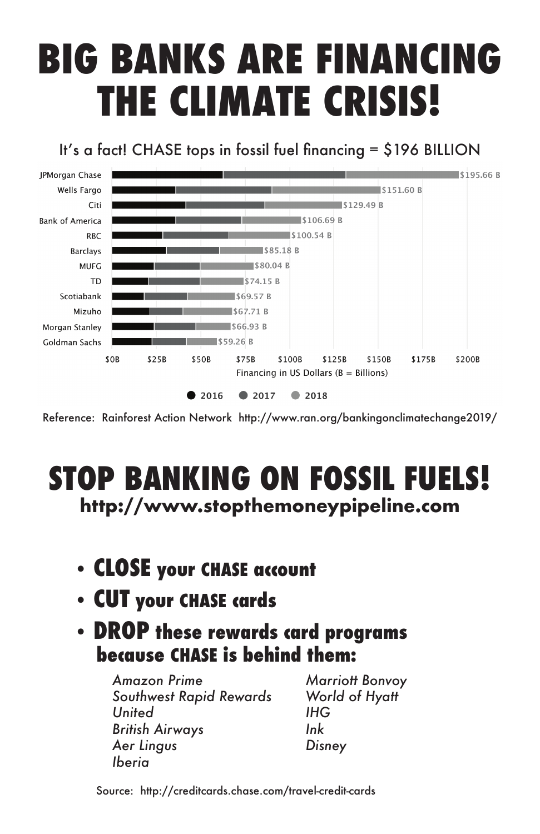# **BIG BANKS ARE FINANCING THE CLIMATE CRISIS!**

It's a fact! CHASE tops in fossil fuel financing = \$196 BILLION



Reference: Rainforest Action Network http://www.ran.org/bankingonclimatechange2019/

### **STOP BANKING ON FOSSIL FUELS! http://www.stopthemoneypipeline.com**

- **CLOSE your CHASE account**
- **CUT your CHASE cards**
- **DROP these rewards card programs because CHASE is behind them:**

*Amazon Prime Southwest Rapid Rewards United British Airways Aer Lingus Iberia*

*Marriott Bonvoy World of Hyatt IHG Ink Disney*

Source: http://creditcards.chase.com/travel-credit-cards